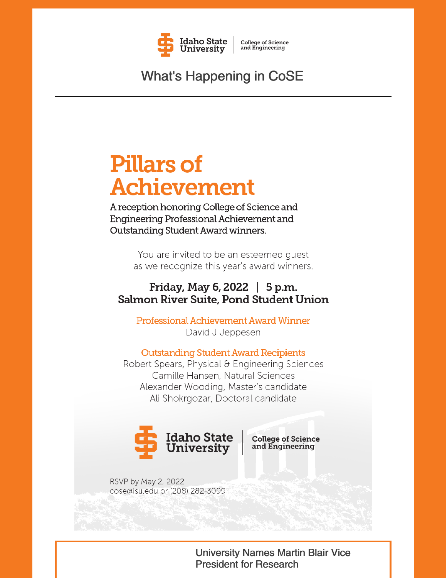

**College of Science**<br>and Engineering

**What's Happening in CoSE** 

# **Pillars of Achievement**

A reception honoring College of Science and Engineering Professional Achievement and Outstanding Student Award winners.

> You are invited to be an esteemed quest as we recognize this year's award winners.

## Friday, May 6, 2022 | 5 p.m. Salmon River Suite, Pond Student Union

**Professional Achievement Award Winner** David J Jeppesen

**Outstanding Student Award Recipients** 

Robert Spears, Physical & Engineering Sciences Camille Hansen, Natural Sciences Alexander Wooding, Master's candidate Ali Shokrgozar, Doctoral candidate



**College of Science** and Engineering

RSVP by May 2, 2022 cose@isu.edu or (208) 282-3099

> **University Names Martin Blair Vice President for Research**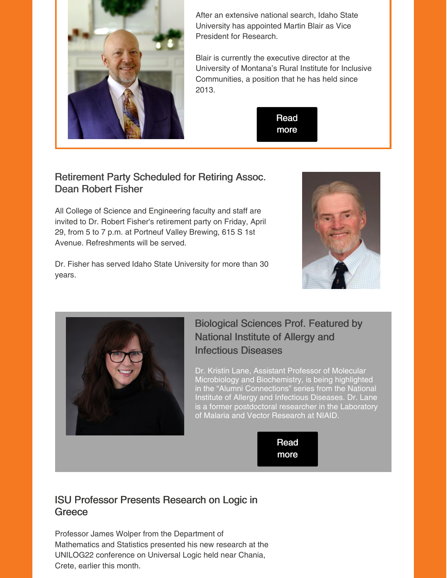

After an extensive national search, Idaho State University has appointed Martin Blair as Vice President for Research.

Blair is currently the executive director at the University of Montana's Rural Institute for Inclusive Communities, a position that he has held since 2013.



#### Retirement Party Scheduled for Retiring Assoc. Dean Robert Fisher

All College of Science and Engineering faculty and staff are invited to Dr. Robert Fisher's retirement party on Friday, April 29, from 5 to 7 p.m. at Portneuf Valley Brewing, 615 S 1st Avenue. Refreshments will be served.

Dr. Fisher has served Idaho State University for more than 30 years.





### Biological Sciences Prof. Featured by National Institute of Allergy and Infectious Diseases

Dr. Kristin Lane, Assistant Professor of Molecular Microbiology and Biochemistry, is being highlighted in the "Alumni Connections" series from the National Institute of Allergy and Infectious Diseases. Dr. Lane is a former postdoctoral researcher in the Laboratory of Malaria and Vector Research at NIAID.



#### ISU Professor Presents Research on Logic in **Greece**

Professor James Wolper from the Department of Mathematics and Statistics presented his new research at the UNILOG22 conference on Universal Logic held near Chania, Crete, earlier this month.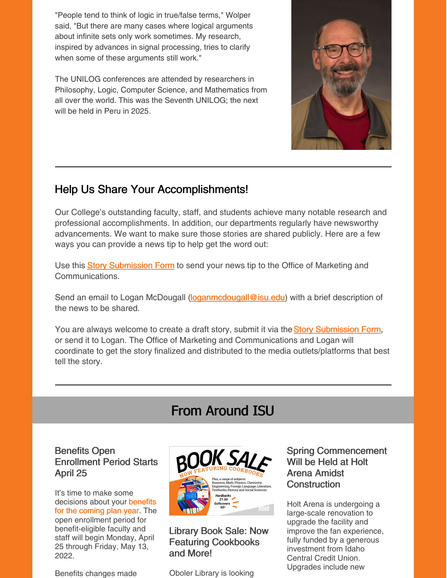"People tend to think of logic in true/false terms," Wolper said, "But there are many cases where logical arguments about infinite sets only work sometimes. My research, inspired by advances in signal processing, tries to clarify when some of these arguments still work."

The UNILOG conferences are attended by researchers in Philosophy, Logic, Computer Science, and Mathematics from all over the world. This was the Seventh UNILOG; the next will be held in Peru in 2025.



### Help Us Share Your Accomplishments!

Our College's outstanding faculty, staff, and students achieve many notable research and professional accomplishments. In addition, our departments regularly have newsworthy advancements. We want to make sure those stories are shared publicly. Here are a few ways you can provide a news tip to help get the word out:

U[s](https://www.isu.edu/news/story-form/)e this **Story [Submission](https://www.isu.edu/news/story-form/) Form** to send your news tip to the Office of Marketing and Communications.

Send an email to Logan McDougall [\(loganmcdougall@isu.edu](mailto:loganmcdougall@isu.edu)) with a brief description of the news to be shared.

You ar[e](https://www.isu.edu/news/story-form/) always welcome to create a draft story, submit it via the Story [Submission](https://www.isu.edu/news/story-form/) Form, or send it to Logan. The Office of Marketing and Communications and Logan will coordinate to get the story finalized and distributed to the media outlets/platforms that best tell the story.

# From Around ISU

#### Benefits Open Enrollment Period Starts April 25

It's time to make some [decisions](https://myemail.constantcontact.com/Benefits-Open-Enrollment-Period--April-25th---May-13th.html?soid=1127399030149&aid=xGcsSChKTTg) about your benefits for the coming plan year. The open enrollment period for benefit-eligible faculty and staff will begin Monday, April 25 through Friday, May 13, 2022.

Benefits changes made



Library Book Sale: Now Featuring Cookbooks and More!

Oboler Library is looking

Spring Commencement Will be Held at Holt Arena Amidst **Construction** 

Holt Arena is undergoing a large-scale renovation to upgrade the facility and improve the fan experience, fully funded by a generous investment from Idaho Central Credit Union. Upgrades include new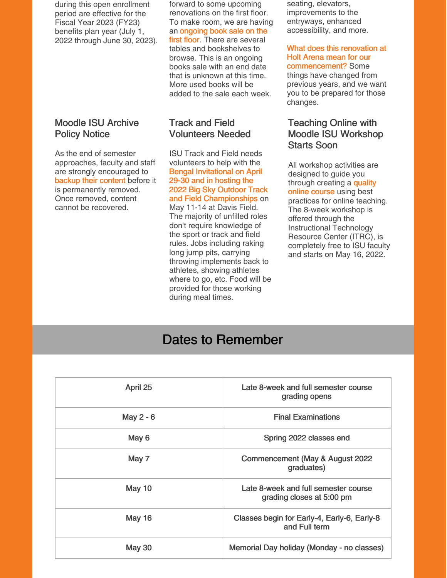during this open enrollment period are effective for the Fiscal Year 2023 (FY23) benefits plan year (July 1, 2022 through June 30, 2023).

#### Moodle ISU Archive Policy Notice

As the end of semester approaches, faculty and staff are strongly encouraged to backup their [content](https://docs.google.com/document/d/1TKSWOr_MM2agKIChcCC7stH1jYa-Z6hD4gTeu9qOjYQ/edit#heading=h.lmplgln86aw2) before it is permanently removed. Once removed, content cannot be recovered.

forward to some upcoming renovations on the first floor. To make room, we are having an [ongoing](https://isu.libguides.com/blog/Book-Sale-Continues) book sale on the first floor. There are several tables and bookshelves to browse. This is an ongoing books sale with an end date that is unknown at this time. More used books will be added to the sale each week.

#### Track and Field Volunteers Needed

ISU Track and Field needs volunteers to help with the Bengal Invitational on April 29-30 and in hosting the 2022 Big Sky Outdoor Track and Field [Championships](https://www.isu.edu/news/2022-spring/track-and-field-volunteers-needed.html) on May 11-14 at Davis Field. The majority of unfilled roles don't require knowledge of the sport or track and field rules. Jobs including raking long jump pits, carrying throwing implements back to athletes, showing athletes where to go, etc. Food will be provided for those working during meal times.

seating, elevators, improvements to the entryways, enhanced accessibility, and more.

#### What does this renovation at Holt Arena mean for our [commencement?](https://www.isu.edu/news/2022-spring/spring-commencement-will-be-held-at-holt-arena-amidst-construction.html) Some

things have changed from previous years, and we want you to be prepared for those changes.

#### Teaching Online with Moodle ISU Workshop Starts Soon

All workshop activities are designed to guide you through [creating](https://www.isu.edu/news/2022-spring/teaching-online-with-moodle-isu-workshop-starts-soon.html) a quality online course using best practices for online teaching. The 8-week workshop is offered through the Instructional Technology Resource Center (ITRC), is completely free to ISU faculty and starts on May 16, 2022.

# Dates to Remember

| April 25      | Late 8-week and full semester course<br>grading opens             |
|---------------|-------------------------------------------------------------------|
| May 2 - 6     | <b>Final Examinations</b>                                         |
| May 6         | Spring 2022 classes end                                           |
| May 7         | Commencement (May & August 2022<br>graduates)                     |
| May 10        | Late 8-week and full semester course<br>grading closes at 5:00 pm |
| <b>May 16</b> | Classes begin for Early-4, Early-6, Early-8<br>and Full term      |
| <b>May 30</b> | Memorial Day holiday (Monday - no classes)                        |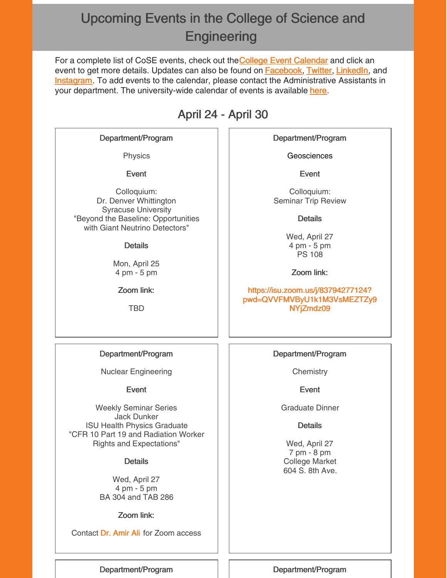# Upcoming Events in the College of Science and **Engineering**

For a compl[e](https://isu.edu/cse/calendar/)te list of CoSE events, check out the College Event [Calendar](https://isu.edu/cse/calendar/) and click an event to get more details. Updates can also be found on **[Facebook](https://www.facebook.com/IdahoStateUCoSE)**, [Twitter](https://twitter.com/IdahoStateUCoSE), [LinkedIn](https://www.linkedin.com/company/idaho-state-university-college-of-science-and-engineering), and **[Instagram](https://www.instagram.com/idahostateucose/)**. To add events to the calendar, please contact the Administrative Assistants in your department. The university-wide calendar of events is available [here](https://www.isu.edu/calendar/).

# April 24 - April 30

#### Department/Program

Physics

Event

Colloquium: Dr. Denver Whittington Syracuse University "Beyond the Baseline: Opportunities with Giant Neutrino Detectors"

#### **Details**

Mon, April 25 4 pm - 5 pm

Zoom link:

TBD

Department/Program

**Geosciences** 

Event

Colloquium: Seminar Trip Review

**Details** 

Wed, April 27 4 pm - 5 pm PS 108

Zoom link:

https://isu.zoom.us/j/83794277124? [pwd=QVVFMVByU1k1M3VsMEZTZy9](https://isu.zoom.us/j/83794277124?pwd=QVVFMVByU1k1M3VsMEZTZy9NYjZmdz09) NYjZmdz09

#### Department/Program

Nuclear Engineering

#### Event

Weekly Seminar Series Jack Dunker ISU Health Physics Graduate "CFR 10 Part 19 and Radiation Worker Rights and Expectations"

**Details** 

Wed, April 27 4 pm - 5 pm BA 304 and TAB 286

Zoom link:

Contact Dr. [Amir](mailto:aliamir@isu.edu) Ali for Zoom access

Department/Program

**Chemistry** 

Event

Graduate Dinner

**Details** 

Wed, April 27 7 pm - 8 pm College Market 604 S. 8th Ave.

Department/Program | | Department/Program